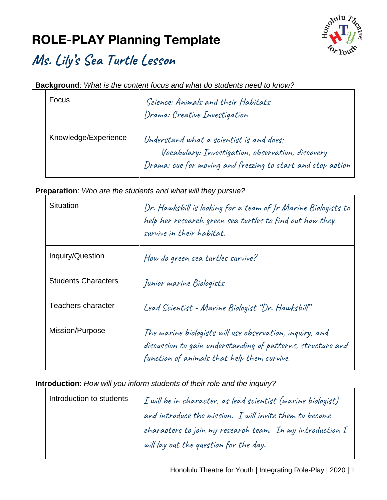# **ROLE-PLAY Planning Template**



### **Ms. Lily's Sea Turtle Lesson**

### **Background**: *What is the content focus and what do students need to know?*

| Focus                | Science: Animals and their Habitats<br>Drama: Creative Investigation                                                                                         |
|----------------------|--------------------------------------------------------------------------------------------------------------------------------------------------------------|
| Knowledge/Experience | Understand what a scientist is and does;<br>Vocabulary: Investigation, observation, discovery<br>Drama: cue for moving and freezing to start and stop action |

### **Preparation**: *Who are the students and what will they pursue?*

| Situation                  | Dr. Hawksbill is looking for a team of Jr Marine Biologists to<br>help her research green sea turtles to find out how they<br>survive in their habitat.                |
|----------------------------|------------------------------------------------------------------------------------------------------------------------------------------------------------------------|
| Inquiry/Question           | How do green sea turtles survive?                                                                                                                                      |
| <b>Students Characters</b> | Junior marine Biologists                                                                                                                                               |
| Teachers character         | Lead Scientist - Marine Biologist "Dr. Hawksbill"                                                                                                                      |
| Mission/Purpose            | The marine biologists will use observation, inquiry, and<br>discussion to gain understanding of patterns, structure and<br>function of animals that help them survive. |

#### **Introduction**: *How will you inform students of their role and the inquiry?*

| Introduction to students | $\begin{array}{ l } \hbox{\em\it I will be in character, as lead scientist (marine biologyist)}\\ \hbox{\em\it and introduce the mission. I will invite them to become} \\ \hbox{\em\it characters to join my research team. In my introduction I} \hbox{\em\it} \end{array}$ |
|--------------------------|-------------------------------------------------------------------------------------------------------------------------------------------------------------------------------------------------------------------------------------------------------------------------------|
|                          |                                                                                                                                                                                                                                                                               |
|                          | will lay out the question for the day.                                                                                                                                                                                                                                        |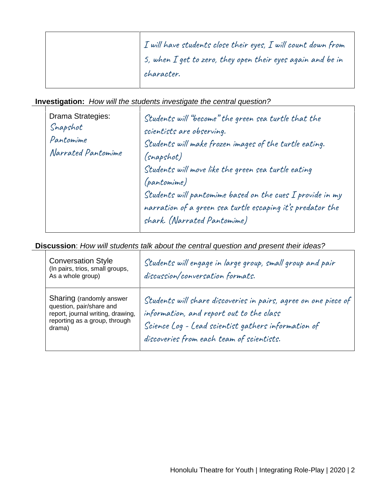|  | $\mid$ I will have students close their eyes, I will count down from |
|--|----------------------------------------------------------------------|
|  | 5, when $I$ get to zero, they open their eyes again and be in        |
|  | character.                                                           |

**Investigation:** *How will the students investigate the central question?*

| Drama Strategies:<br>Snapshot<br>Pantomime<br>Narrated Pantomime | Students will "become" the green sea turtle that the<br>scientists are observing.<br>Students will make frozen images of the turtle eating.<br>(snapshot)<br>Students will move like the green sea turtle eating<br><i>(pantomime)</i><br>Students will pantomime based on the cues I provide in my<br>narration of a green sea turtle escaping it's predator the<br>shark. (Narrated Pantomime) |
|------------------------------------------------------------------|--------------------------------------------------------------------------------------------------------------------------------------------------------------------------------------------------------------------------------------------------------------------------------------------------------------------------------------------------------------------------------------------------|
|------------------------------------------------------------------|--------------------------------------------------------------------------------------------------------------------------------------------------------------------------------------------------------------------------------------------------------------------------------------------------------------------------------------------------------------------------------------------------|

**Discussion**: *How will students talk about the central question and present their ideas?*

| <b>Conversation Style</b><br>(In pairs, trios, small groups,<br>As a whole group)                                                    | Students will engage in large group, small group and pair<br>discussion/conversation formats.                                                                                                                   |
|--------------------------------------------------------------------------------------------------------------------------------------|-----------------------------------------------------------------------------------------------------------------------------------------------------------------------------------------------------------------|
| Sharing (randomly answer<br>question, pair/share and<br>report, journal writing, drawing,<br>reporting as a group, through<br>drama) | Students will share discoveries in pairs, agree on one piece of<br>information, and report out to the class<br>Science Log - Lead scientist gathers information of<br>discoveries from each team of scientists. |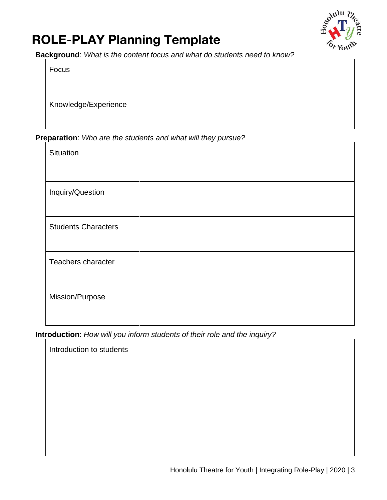# **ROLE-PLAY Planning Template**



**Background**: *What is the content focus and what do students need to know?*

| Focus                |  |
|----------------------|--|
| Knowledge/Experience |  |

#### **Preparation**: *Who are the students and what will they pursue?*

| Situation                  |  |
|----------------------------|--|
|                            |  |
|                            |  |
|                            |  |
|                            |  |
| Inquiry/Question           |  |
|                            |  |
|                            |  |
|                            |  |
| <b>Students Characters</b> |  |
|                            |  |
|                            |  |
|                            |  |
| Teachers character         |  |
|                            |  |
|                            |  |
|                            |  |
| Mission/Purpose            |  |
|                            |  |
|                            |  |
|                            |  |

**Introduction**: *How will you inform students of their role and the inquiry?*

| Introduction to students |  |
|--------------------------|--|
|                          |  |
|                          |  |
|                          |  |
|                          |  |
|                          |  |